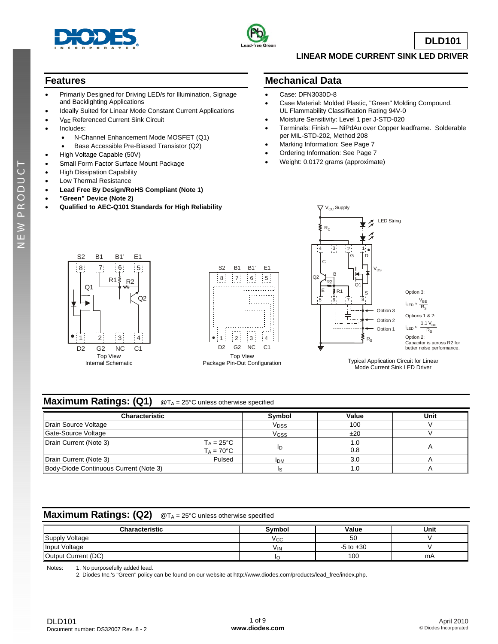



**DLD101**

#### **LINEAR MODE CURRENT SINK LED DRIVER**

### **Features**

- Primarily Designed for Driving LED/s for Illumination, Signage and Backlighting Applications
- Ideally Suited for Linear Mode Constant Current Applications
- V<sub>BE</sub> Referenced Current Sink Circuit
- Includes:
	- N-Channel Enhancement Mode MOSFET (Q1)
	- Base Accessible Pre-Biased Transistor (Q2)
- High Voltage Capable (50V)
- Small Form Factor Surface Mount Package
- High Dissipation Capability
- Low Thermal Resistance
- **Lead Free By Design/RoHS Compliant (Note 1)**
- **"Green" Device (Note 2)**
- **Qualified to AEC-Q101 Standards for High Reliability**

#### **Mechanical Data**

- Case: DFN3030D-8
- Case Material: Molded Plastic, "Green" Molding Compound. UL Flammability Classification Rating 94V-0
- Moisture Sensitivity: Level 1 per J-STD-020
- Terminals: Finish NiPdAu over Copper leadframe. Solderable per MIL-STD-202, Method 208
- Marking Information: See Page 7
- Ordering Information: See Page 7
- Weight: 0.0172 grams (approximate)







Package Pin-Out Configuration Typical Application Circuit for Linear<br>Mada Current Circuit LED Ritireary Mode Current Sink LED Driver

## **Maximum Ratings: (Q1)** @T<sub>A</sub> = 25°C unless otherwise specified

| <b>Characteristic</b>                  |                                             | Symbol           | Value      | Unit |
|----------------------------------------|---------------------------------------------|------------------|------------|------|
| Drain Source Voltage                   |                                             | V <sub>DSS</sub> | 100        |      |
| Gate-Source Voltage                    |                                             | VGSS             | ±20        |      |
| Drain Current (Note 3)                 | $T_A = 25^{\circ}C$<br>$T_A = 70^{\circ}$ C | ID               | 1.0<br>0.8 |      |
| Drain Current (Note 3)                 | Pulsed                                      | <b>IDM</b>       | 3.0        |      |
| Body-Diode Continuous Current (Note 3) |                                             |                  |            |      |

#### **Maximum Ratings: (Q2)** @T<sub>A</sub> = 25°C unless otherwise specified

| <b>Characteristic</b> | Svmbol          | Value         | Unit |
|-----------------------|-----------------|---------------|------|
| Supply Voltage        | ۷сс             | 50            |      |
| Input Voltage         | V <sub>IN</sub> | $-5$ to $+30$ |      |
| Output Current (DC)   |                 | 100           | mA   |

Notes: 1. No purposefully added lead.

2. Diodes Inc.'s "Green" policy can be found on our website at [http://www.diodes.com/products/lead\\_free/index.php.](http://www.diodes.com/products/lead_free/index.php)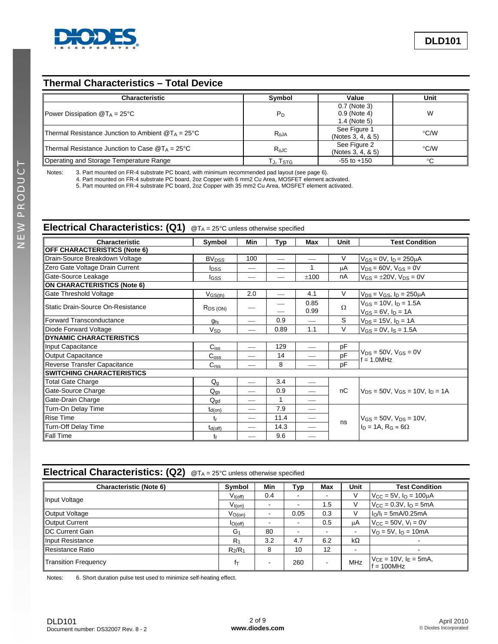

### **Thermal Characteristics – Total Device**

| <b>Characteristic</b>                                       | Symbol               | Value                                        | Unit          |
|-------------------------------------------------------------|----------------------|----------------------------------------------|---------------|
| Power Dissipation $@T_A = 25^{\circ}C$                      | $P_D$                | 0.7 (Note 3)<br>0.9 (Note 4)<br>1.4 (Note 5) | W             |
| Thermal Resistance Junction to Ambient $@T_A = 25^{\circ}C$ | $R_{AJA}$            | See Figure 1<br>(Notes 3, 4, & 5)            | °C/W          |
| Thermal Resistance Junction to Case $@T_A = 25^{\circ}C$    | $R_{\theta$ JC       | See Figure 2<br>(Notes 3, 4, & 5)            | $\degree$ C/W |
| Operating and Storage Temperature Range                     | TJ, T <sub>STG</sub> | $-55$ to $+150$                              | ℃             |

Notes: 3. Part mounted on FR-4 substrate PC board, with minimum recommended pad layout (see page 6).

4. Part mounted on FR-4 substrate PC board, 2oz Copper with 6 mm2 Cu Area, MOSFET element activated.

5. Part mounted on FR-4 substrate PC board, 2oz Copper with 35 mm2 Cu Area, MOSFET element activated.

## **Electrical Characteristics: (Q1)** @T<sub>A</sub> = 25°C unless otherwise specified

| Characteristic                      | Symbol                  | Min | Typ          | <b>Max</b> | Unit     | <b>Test Condition</b>                           |  |  |
|-------------------------------------|-------------------------|-----|--------------|------------|----------|-------------------------------------------------|--|--|
| <b>OFF CHARACTERISTICS (Note 6)</b> |                         |     |              |            |          |                                                 |  |  |
| Drain-Source Breakdown Voltage      | <b>BV<sub>DSS</sub></b> | 100 |              |            | V        | $V_{GS} = 0V$ , $I_D = 250 \mu A$               |  |  |
| Zero Gate Voltage Drain Current     | <b>I</b> pss            |     | —            | 1          | μA       | $V_{DS} = 60V$ , $V_{GS} = 0V$                  |  |  |
| Gate-Source Leakage                 | l <sub>GSS</sub>        |     |              | ±100       | nA       | $V_{GS} = \pm 20V$ , $V_{DS} = 0V$              |  |  |
| ON CHARACTERISTICS (Note 6)         |                         |     |              |            |          |                                                 |  |  |
| <b>Gate Threshold Voltage</b>       | $V_{GS(th)}$            | 2.0 |              | 4.1        | V        | $V_{DS} = V_{GS}$ , $I_D = 250 \mu A$           |  |  |
| Static Drain-Source On-Resistance   |                         |     |              | 0.85       | $\Omega$ | $V_{GS} = 10V$ , $I_D = 1.5A$                   |  |  |
|                                     | R <sub>DS</sub> (ON)    |     |              | 0.99       |          | $V_{GS} = 6V$ , $I_D = 1A$                      |  |  |
| Forward Transconductance            | $g_{fs}$                |     | 0.9          |            | S        | $V_{DS} = 15V$ , $I_D = 1A$                     |  |  |
| Diode Forward Voltage               | V <sub>SD</sub>         |     | 0.89         | 1.1        | V        | $V_{GS} = 0V$ , $I_S = 1.5A$                    |  |  |
| <b>DYNAMIC CHARACTERISTICS</b>      |                         |     |              |            |          |                                                 |  |  |
| Input Capacitance                   | $C_{iss}$               |     | 129          |            | pF       |                                                 |  |  |
| Output Capacitance                  | $C_{\rm{oss}}$          |     | 14           |            | pF       | $V_{DS} = 50V$ , $V_{GS} = 0V$<br>$f = 1.0$ MHz |  |  |
| Reverse Transfer Capacitance        | C <sub>rss</sub>        |     | 8            |            | pF       |                                                 |  |  |
| <b>ISWITCHING CHARACTERISTICS</b>   |                         |     |              |            |          |                                                 |  |  |
| Total Gate Charge                   | $Q_{\alpha}$            |     | 3.4          |            |          |                                                 |  |  |
| Gate-Source Charge                  | $Q_{gs}$                |     | 0.9          |            | nC       | $V_{DS} = 50V$ , $V_{GS} = 10V$ , $I_D = 1A$    |  |  |
| Gate-Drain Charge                   | $Q_{\text{qd}}$         |     | $\mathbf{1}$ |            |          |                                                 |  |  |
| Turn-On Delay Time                  | $t_{d(on)}$             | --  | 7.9          |            |          |                                                 |  |  |
| Rise Time                           | tr                      |     | 11.4         |            | ns       | $V_{GS} = 50V$ , $V_{DS} = 10V$ ,               |  |  |
| Turn-Off Delay Time                 | $t_{d(off)}$            |     | 14.3         |            |          | $I_D = 1A$ , $R_G \approx 6\Omega$              |  |  |
| <b>Fall Time</b>                    | tf                      |     | 9.6          |            |          |                                                 |  |  |

# **Electrical Characteristics: (Q2)** @TA = 25°C unless otherwise specified

| <b>Characteristic (Note 6)</b> | Symbol                         | Min | Typ  | Max | Unit       | <b>Test Condition</b>                       |
|--------------------------------|--------------------------------|-----|------|-----|------------|---------------------------------------------|
| Input Voltage                  | $V_{I(off)}$                   | 0.4 |      |     |            | $V_{\rm CC}$ = 5V, $I_{\rm O}$ = 100µA      |
|                                | V <sub>I(on)</sub>             |     |      | 1.5 |            | $V_{CC} = 0.3V$ , $I_{O} = 5mA$             |
| Output Voltage                 | $V_{O(0n)}$                    |     | 0.05 | 0.3 |            | $I_0/I_1 = 5mA/0.25mA$                      |
| Output Current                 | $I_{O(off)}$                   |     |      | 0.5 | μA         | $V_{\text{CC}} = 50V$ , $V_{\text{I}} = 0V$ |
| <b>IDC Current Gain</b>        | G <sub>1</sub>                 | 80  |      |     |            | $V_O = 5V$ , $I_O = 10mA$                   |
| Input Resistance               | $R_1$                          | 3.2 | 4.7  | 6.2 | $k\Omega$  |                                             |
| Resistance Ratio               | R <sub>2</sub> /R <sub>1</sub> | 8   | 10   | 12  |            |                                             |
| <b>Transition Frequency</b>    | fτ                             |     | 260  |     | <b>MHz</b> | $V_{CE} = 10V, IE = 5mA,$<br>$f = 100$ MHz  |

Notes: 6. Short duration pulse test used to minimize self-heating effect.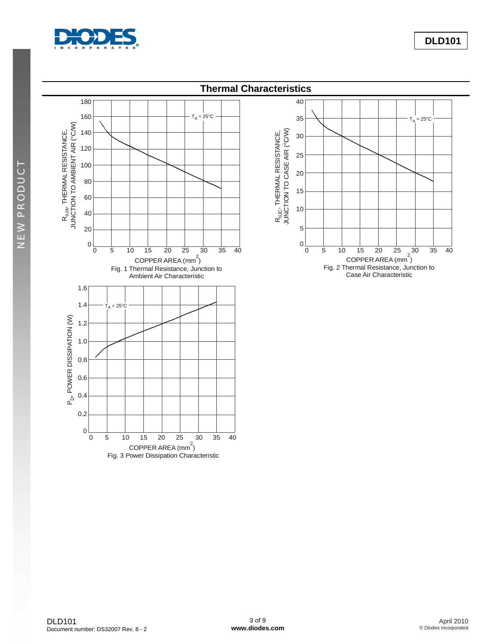

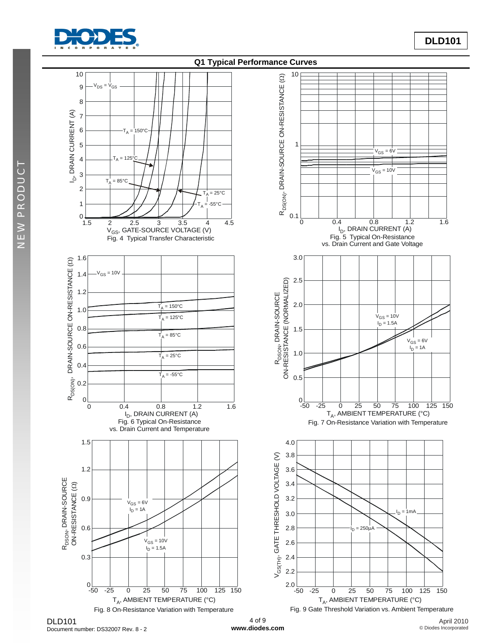



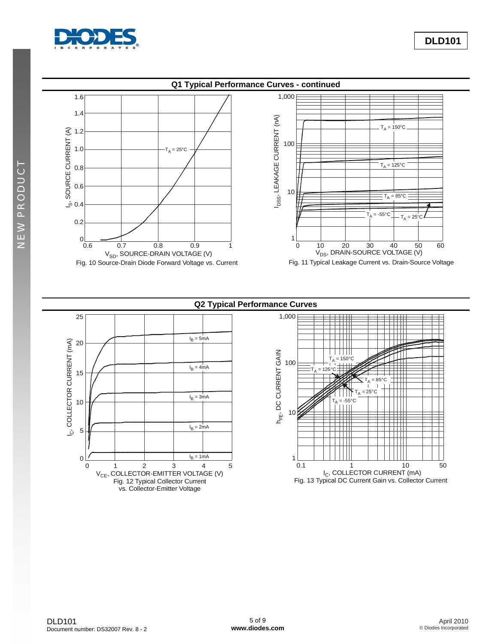

NEW PRODUCT

NEW PRODUCT





**Q2 Typical Performance Curves**

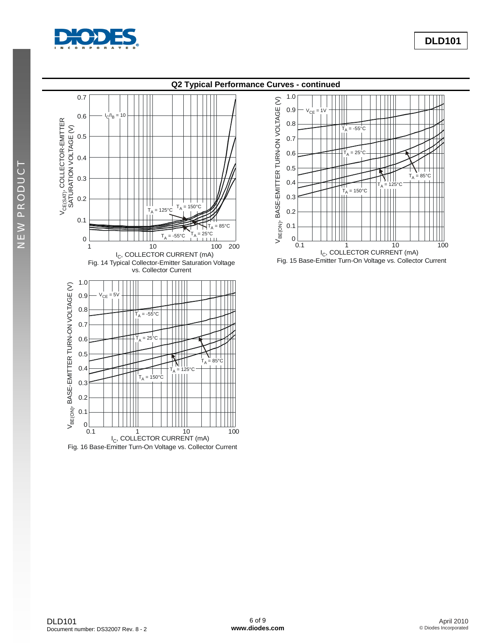

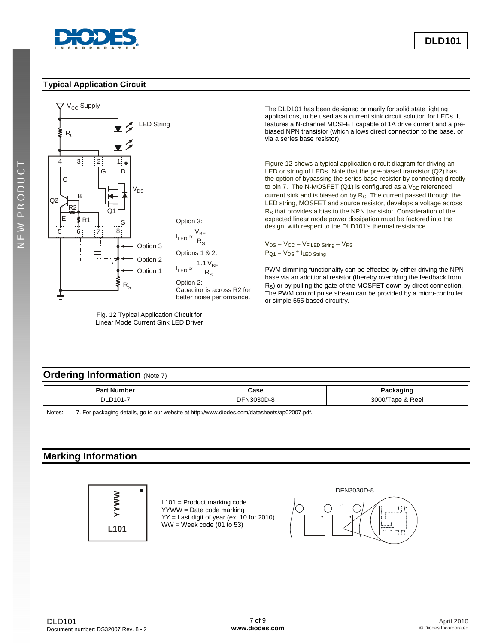

#### **Typical Application Circuit**



Fig. 12 Typical Application Circuit for Linear Mode Current Sink LED Driver The DLD101 has been designed primarily for solid state lighting applications, to be used as a current sink circuit solution for LEDs. It features a N-channel MOSFET capable of 1A drive current and a prebiased NPN transistor (which allows direct connection to the base, or via a series base resistor).

Figure 12 shows a typical application circuit diagram for driving an LED or string of LEDs. Note that the pre-biased transistor (Q2) has the option of bypassing the series base resistor by connecting directly to pin 7. The N-MOSFET (Q1) is configured as a  $V_{BE}$  referenced current sink and is biased on by  $R<sub>C</sub>$ . The current passed through the LED string, MOSFET and source resistor, develops a voltage across RS that provides a bias to the NPN transistor. Consideration of the expected linear mode power dissipation must be factored into the design, with respect to the DLD101's thermal resistance.

 $V_{DS} = V_{CC} - V_{F}$  LED String  $-V_{RS}$  $P_{Q1} = V_{DS} * I_{LED String}$ 

PWM dimming functionality can be effected by either driving the NPN base via an additional resistor (thereby overriding the feedback from R<sub>S</sub>) or by pulling the gate of the MOSFET down by direct connection. The PWM control pulse stream can be provided by a micro-controller or simple 555 based circuitry.

#### **Ordering Information** (Note 7)

| Dort.<br>.nber<br>…r N⊔r∽⊺<br>-а | Case<br>- - - - |             |
|----------------------------------|-----------------|-------------|
| P.<br><b>D</b><br>◡◡             | ור<br>.         | ∩∩פ<br>Ree. |

Notes: 7. For packaging details, go to our website at [http://www.diodes.com/datasheets/ap02007.pdf.](http://www.diodes.com/datasheets/ap02007.pdf)

### **Marking Information**



 L101 = Product marking code YYWW = Date code marking YY = Last digit of year (ex: 10 for 2010)  $WW =$  Week code (01 to 53)

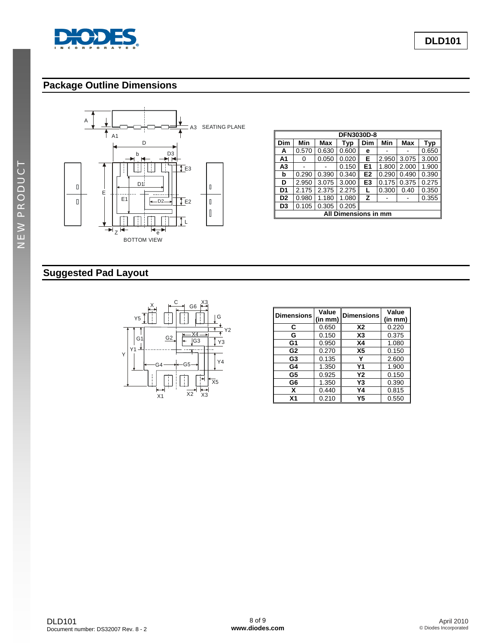

# **Package Outline Dimensions**



| DFN3030D-8                                |       |            |       |                |       |       |       |
|-------------------------------------------|-------|------------|-------|----------------|-------|-------|-------|
| Dim                                       | Min   | <b>Max</b> | Typ   | Dim            | Min   | Max   | Typ   |
| А                                         | 0.570 | 0.630      | 0.600 | е              |       |       | 0.650 |
| A1                                        | 0     | 0.050      | 0.020 | Е              | 2.950 | 3.075 | 3.000 |
| A <sub>3</sub>                            |       |            | 0.150 | E1             | 1.800 | 2.000 | 1.900 |
| b                                         | 0.290 | 0.390      | 0.340 | E <sub>2</sub> | 0.290 | 0.490 | 0.390 |
| D                                         | 2.950 | 3.075      | 3.000 | E3             | 0.175 | 0.375 | 0.275 |
| D <sub>1</sub>                            | 2.175 | 2.375      | 2.275 |                | 0.300 | 0.40  | 0.350 |
| D <sub>2</sub>                            | 0.980 | 1.180      | 1.080 | z              |       |       | 0.355 |
| 0.305<br>0.205<br>D <sub>3</sub><br>0.105 |       |            |       |                |       |       |       |
| All Dimensions in mm                      |       |            |       |                |       |       |       |

# **Suggested Pad Layout**



| <b>Dimensions</b> | Value<br>(in mm) | <b>Dimensions</b> | Value<br>(in mm) |
|-------------------|------------------|-------------------|------------------|
| С                 | 0.650            | <b>X2</b>         | 0.220            |
| G                 | 0.150            | X3                | 0.375            |
| G1                | 0.950            | X4                | 1.080            |
| G <sub>2</sub>    | 0.270            | X <sub>5</sub>    | 0.150            |
| G <sub>3</sub>    | 0.135            | Υ                 | 2.600            |
| G4                | 1.350            | Υ1                | 1.900            |
| G5                | 0.925            | Υ2                | 0.150            |
| G6                | 1.350            | Y3                | 0.390            |
| x                 | 0.440            | Υ4                | 0.815            |
| X <sub>1</sub>    | 0.210            | Υ5                | 0.550            |